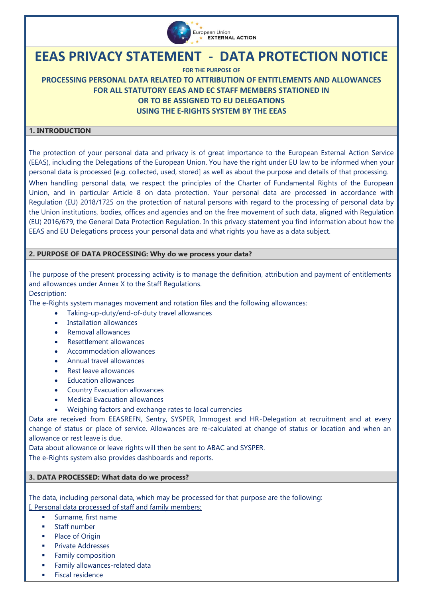

# **EEAS PRIVACY STATEMENT - DATA PROTECTION NOTICE**

**FOR THE PURPOSE OF**

# **PROCESSING PERSONAL DATA RELATED TO ATTRIBUTION OF ENTITLEMENTS AND ALLOWANCES FOR ALL STATUTORY EEAS AND EC STAFF MEMBERS STATIONED IN OR TO BE ASSIGNED TO EU DELEGATIONS USING THE E-RIGHTS SYSTEM BY THE EEAS**

# **1. INTRODUCTION**

The protection of your personal data and privacy is of great importance to the European External Action Service (EEAS), including the Delegations of the European Union. You have the right under EU law to be informed when your personal data is processed [e.g. collected, used, stored] as well as about the purpose and details of that processing.

When handling personal data, we respect the principles of the Charter of Fundamental Rights of the European Union, and in particular Article 8 on data protection. Your personal data are processed in accordance with [Regulation \(EU\) 2018/1725 on the protection of natural persons with](https://eur-lex.europa.eu/legal-content/EN/TXT/?uri=CELEX%3A32018R1725) regard to the processing of personal data by [the Union institutions, bodies, offices and agencies and on the free movement of such data,](https://eur-lex.europa.eu/legal-content/EN/TXT/?uri=CELEX%3A32018R1725) aligned with Regulation (EU) 2016/679, the General Data Protection Regulation. In this privacy statement you find information about how the EEAS and EU Delegations process your personal data and what rights you have as a data subject.

# **2. PURPOSE OF DATA PROCESSING: Why do we process your data?**

The purpose of the present processing activity is to manage the definition, attribution and payment of entitlements and allowances under Annex X to the Staff Regulations.

Description:

The e-Rights system manages movement and rotation files and the following allowances:

- Taking-up-duty/end-of-duty travel allowances
- Installation allowances
- Removal allowances
- Resettlement allowances
- Accommodation allowances
- Annual travel allowances
- Rest leave allowances
- Education allowances
- Country Evacuation allowances
- Medical Evacuation allowances
- Weighing factors and exchange rates to local currencies

Data are received from EEASREFN, Sentry, SYSPER, Immogest and HR-Delegation at recruitment and at every change of status or place of service. Allowances are re-calculated at change of status or location and when an allowance or rest leave is due.

Data about allowance or leave rights will then be sent to ABAC and SYSPER. The e-Rights system also provides dashboards and reports.

#### **3. DATA PROCESSED: What data do we process?**

The data, including personal data, which may be processed for that purpose are the following: I. Personal data processed of staff and family members:

- Surname, first name
- Staff number
- Place of Origin
- Private Addresses
- **Family composition**
- **Family allowances-related data**
- Fiscal residence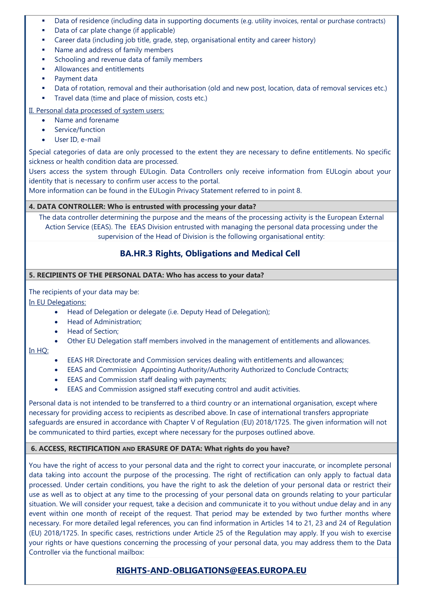- Data of residence (including data in supporting documents (e.g. utility invoices, rental or purchase contracts)
- Data of car plate change (if applicable)
- Career data (including job title, grade, step, organisational entity and career history)
- **Name and address of family members**
- **Schooling and revenue data of family members**
- **Allowances and entitlements**
- **Payment data**
- Data of rotation, removal and their authorisation (old and new post, location, data of removal services etc.)
- Travel data (time and place of mission, costs etc.)

# II. Personal data processed of system users:

- Name and forename
- Service/function
- User ID, e-mail

Special categories of data are only processed to the extent they are necessary to define entitlements. No specific sickness or health condition data are processed.

Users access the system through EULogin. Data Controllers only receive information from EULogin about your identity that is necessary to confirm user access to the portal.

More information can be found in the EULogin Privacy Statement referred to in point 8.

#### **4. DATA CONTROLLER: Who is entrusted with processing your data?**

The data controller determining the purpose and the means of the processing activity is the European External Action Service (EEAS). The EEAS Division entrusted with managing the personal data processing under the supervision of the Head of Division is the following organisational entity:

# **BA.HR.3 Rights, Obligations and Medical Cell**

#### **5. RECIPIENTS OF THE PERSONAL DATA: Who has access to your data?**

The recipients of your data may be:

In EU Delegations:

- Head of Delegation or delegate (i.e. Deputy Head of Delegation);
- Head of Administration;
- Head of Section:
- Other EU Delegation staff members involved in the management of entitlements and allowances.

#### In HQ:

- EEAS HR Directorate and Commission services dealing with entitlements and allowances;
- EEAS and Commission Appointing Authority/Authority Authorized to Conclude Contracts;
- EEAS and Commission staff dealing with payments;
- EEAS and Commission assigned staff executing control and audit activities.

Personal data is not intended to be transferred to a third country or an international organisation, except where necessary for providing access to recipients as described above. In case of international transfers appropriate safeguards are ensured in accordance with Chapter V of Regulation (EU) 2018/1725. The given information will not be communicated to third parties, except where necessary for the purposes outlined above.

#### **6. ACCESS, RECTIFICATION AND ERASURE OF DATA: What rights do you have?**

You have the right of access to your personal data and the right to correct your inaccurate, or incomplete personal data taking into account the purpose of the processing. The right of rectification can only apply to factual data processed. Under certain conditions, you have the right to ask the deletion of your personal data or restrict their use as well as to object at any time to the processing of your personal data on grounds relating to your particular situation. We will consider your request, take a decision and communicate it to you without undue delay and in any event within one month of receipt of the request. That period may be extended by two further months where necessary. For more detailed legal references, you can find information in Articles 14 to 21, 23 and 24 of Regulation (EU) 2018/1725. In specific cases, restrictions under Article 25 of the Regulation may apply. If you wish to exercise your rights or have questions concerning the processing of your personal data, you may address them to the Data Controller via the functional mailbox:

# **[RIGHTS-AND-OBLIGATIONS@EEAS.EUROPA.EU](mailto:RIGHTS-AND-OBLIGATIONS@EEAS.EUROPA.EU)**